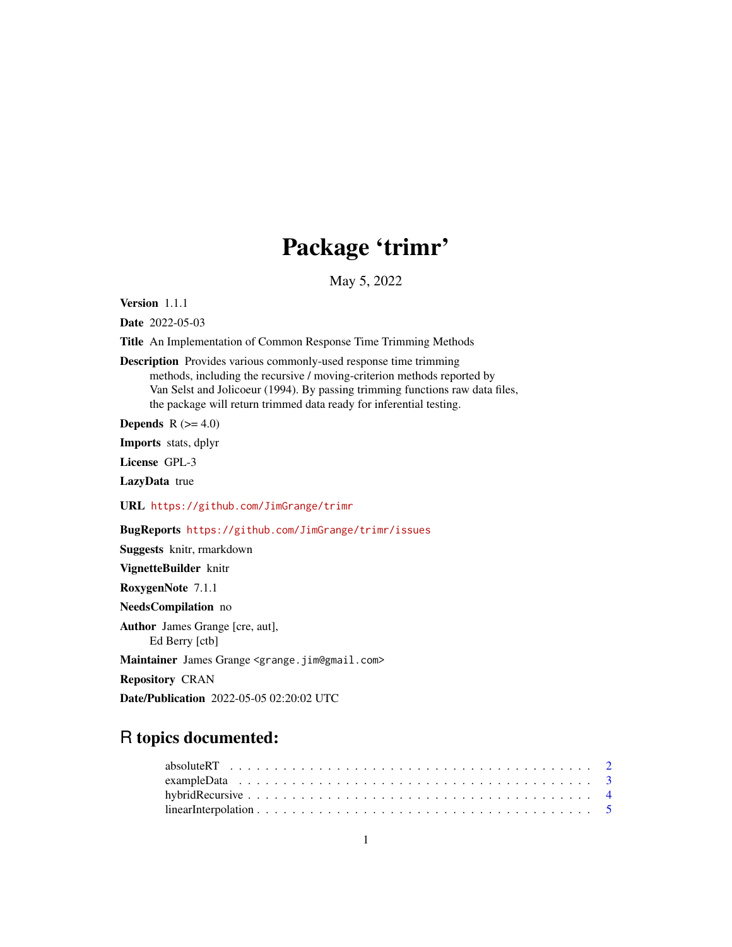## Package 'trimr'

May 5, 2022

Version 1.1.1

Date 2022-05-03

Title An Implementation of Common Response Time Trimming Methods

Description Provides various commonly-used response time trimming methods, including the recursive / moving-criterion methods reported by Van Selst and Jolicoeur (1994). By passing trimming functions raw data files, the package will return trimmed data ready for inferential testing.

**Depends**  $R$  ( $>= 4.0$ )

Imports stats, dplyr

License GPL-3

LazyData true

URL <https://github.com/JimGrange/trimr>

BugReports <https://github.com/JimGrange/trimr/issues>

Suggests knitr, rmarkdown

VignetteBuilder knitr

RoxygenNote 7.1.1

NeedsCompilation no

Author James Grange [cre, aut],

Ed Berry [ctb]

Maintainer James Grange <grange.jim@gmail.com>

Repository CRAN

Date/Publication 2022-05-05 02:20:02 UTC

### R topics documented: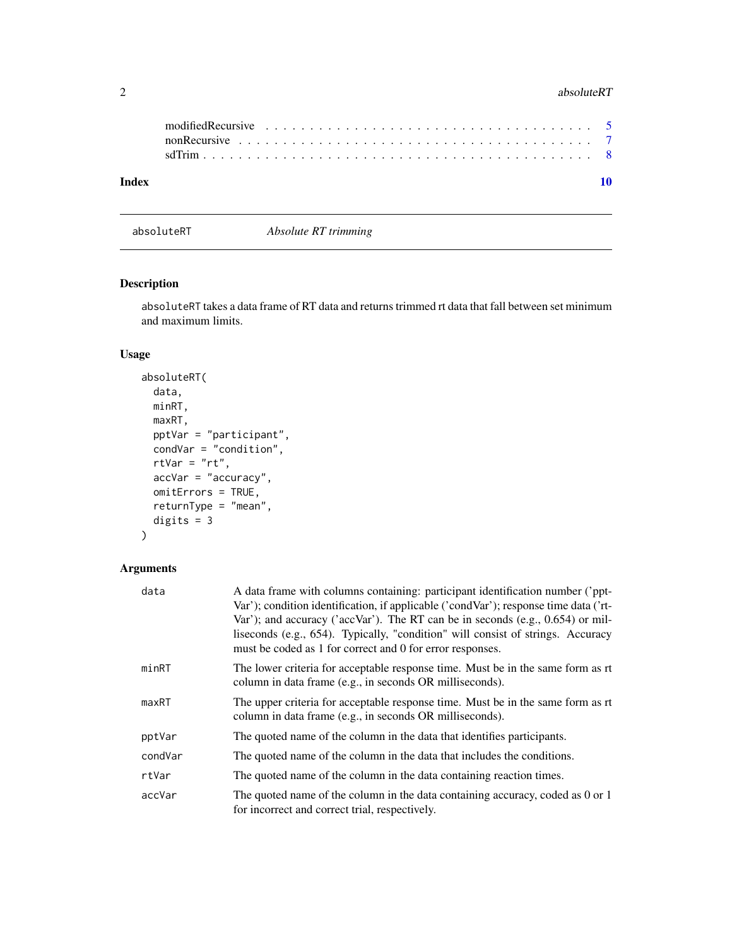#### <span id="page-1-0"></span>2 absoluteRT **absolute** RT **absolute** RT

| Index |  |  | 10 |
|-------|--|--|----|

absoluteRT *Absolute RT trimming*

#### Description

absoluteRT takes a data frame of RT data and returns trimmed rt data that fall between set minimum and maximum limits.

#### Usage

```
absoluteRT(
  data,
 minRT,
 maxRT,
 pptVar = "participant",
  condVar = "condition",
  rtVar = "rt",accVar = "accuracy",
 omitErrors = TRUE,
  returnType = "mean",
  digits = 3
)
```
#### Arguments

| data    | A data frame with columns containing: participant identification number ('ppt-<br>Var'); condition identification, if applicable ('condVar'); response time data ('rt-<br>Var'); and accuracy ('accVar'). The RT can be in seconds (e.g., $0.654$ ) or mil-<br>liseconds (e.g., 654). Typically, "condition" will consist of strings. Accuracy<br>must be coded as 1 for correct and 0 for error responses. |
|---------|-------------------------------------------------------------------------------------------------------------------------------------------------------------------------------------------------------------------------------------------------------------------------------------------------------------------------------------------------------------------------------------------------------------|
| minRT   | The lower criteria for acceptable response time. Must be in the same form as rt<br>column in data frame (e.g., in seconds OR milliseconds).                                                                                                                                                                                                                                                                 |
| maxRT   | The upper criteria for acceptable response time. Must be in the same form as rt<br>column in data frame (e.g., in seconds OR milliseconds).                                                                                                                                                                                                                                                                 |
| pptVar  | The quoted name of the column in the data that identifies participants.                                                                                                                                                                                                                                                                                                                                     |
| condVar | The quoted name of the column in the data that includes the conditions.                                                                                                                                                                                                                                                                                                                                     |
| rtVar   | The quoted name of the column in the data containing reaction times.                                                                                                                                                                                                                                                                                                                                        |
| accVar  | The quoted name of the column in the data containing accuracy, coded as 0 or 1<br>for incorrect and correct trial, respectively.                                                                                                                                                                                                                                                                            |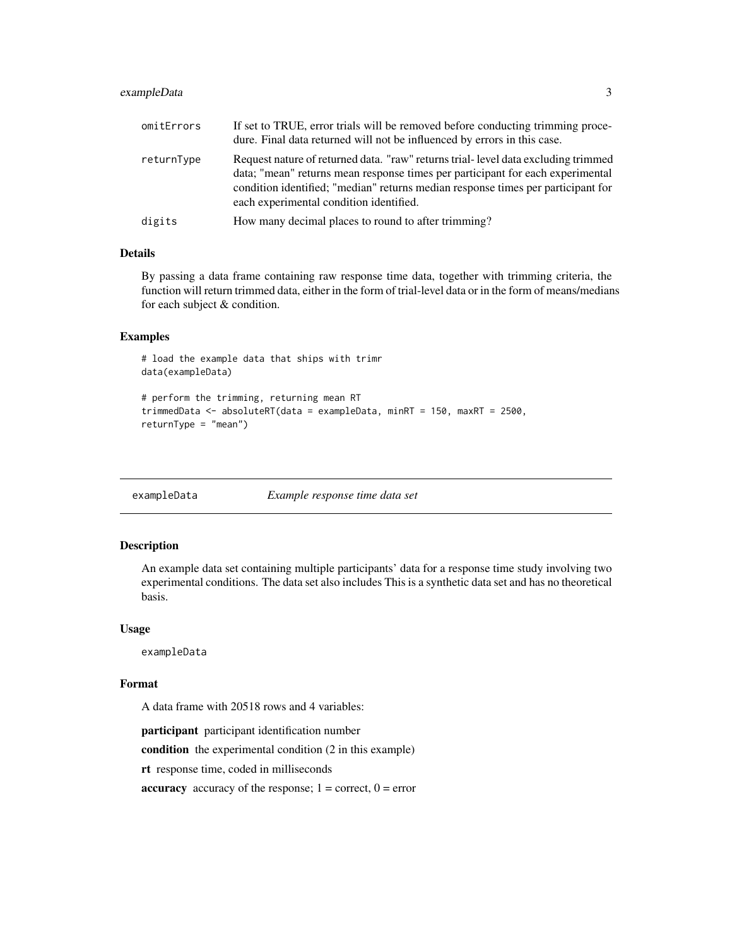#### <span id="page-2-0"></span>exampleData 3

| omitErrors | If set to TRUE, error trials will be removed before conducting trimming proce-<br>dure. Final data returned will not be influenced by errors in this case.                                                                                                                                         |
|------------|----------------------------------------------------------------------------------------------------------------------------------------------------------------------------------------------------------------------------------------------------------------------------------------------------|
| returnType | Request nature of returned data. "raw" returns trial-level data excluding trimmed<br>data; "mean" returns mean response times per participant for each experimental<br>condition identified; "median" returns median response times per participant for<br>each experimental condition identified. |
| digits     | How many decimal places to round to after trimming?                                                                                                                                                                                                                                                |

#### Details

By passing a data frame containing raw response time data, together with trimming criteria, the function will return trimmed data, either in the form of trial-level data or in the form of means/medians for each subject & condition.

#### Examples

```
# load the example data that ships with trimr
data(exampleData)
# perform the trimming, returning mean RT
```

```
trimmedData <- absoluteRT(data = exampleData, minRT = 150, maxRT = 2500,
returnType = "mean")
```
exampleData *Example response time data set*

#### Description

An example data set containing multiple participants' data for a response time study involving two experimental conditions. The data set also includes This is a synthetic data set and has no theoretical basis.

#### Usage

exampleData

#### Format

A data frame with 20518 rows and 4 variables:

participant participant identification number

condition the experimental condition (2 in this example)

rt response time, coded in milliseconds

**accuracy** accuracy of the response;  $1 =$  correct,  $0 =$  error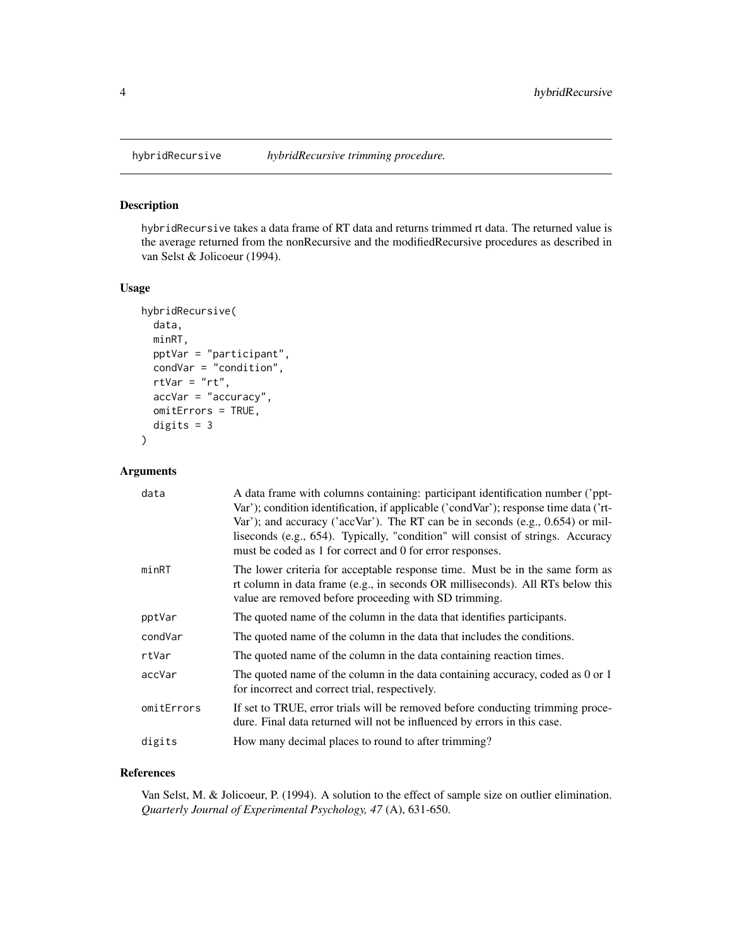#### Description

hybridRecursive takes a data frame of RT data and returns trimmed rt data. The returned value is the average returned from the nonRecursive and the modifiedRecursive procedures as described in van Selst & Jolicoeur (1994).

#### Usage

```
hybridRecursive(
  data,
 minRT,
 pptVar = "participant",
  condVar = "condition",
  rtVar = "rt",accVar = "accuracy",
  omitErrors = TRUE,
  digits = 3)
```
#### Arguments

| data       | A data frame with columns containing: participant identification number ('ppt-<br>Var'); condition identification, if applicable ('condVar'); response time data ('rt-<br>Var'); and accuracy ('accVar'). The RT can be in seconds (e.g., 0.654) or mil-<br>liseconds (e.g., 654). Typically, "condition" will consist of strings. Accuracy<br>must be coded as 1 for correct and 0 for error responses. |
|------------|----------------------------------------------------------------------------------------------------------------------------------------------------------------------------------------------------------------------------------------------------------------------------------------------------------------------------------------------------------------------------------------------------------|
| minRT      | The lower criteria for acceptable response time. Must be in the same form as<br>rt column in data frame (e.g., in seconds OR milliseconds). All RTs below this<br>value are removed before proceeding with SD trimming.                                                                                                                                                                                  |
| pptVar     | The quoted name of the column in the data that identifies participants.                                                                                                                                                                                                                                                                                                                                  |
| condVar    | The quoted name of the column in the data that includes the conditions.                                                                                                                                                                                                                                                                                                                                  |
| rtVar      | The quoted name of the column in the data containing reaction times.                                                                                                                                                                                                                                                                                                                                     |
| accVar     | The quoted name of the column in the data containing accuracy, coded as 0 or 1<br>for incorrect and correct trial, respectively.                                                                                                                                                                                                                                                                         |
| omitErrors | If set to TRUE, error trials will be removed before conducting trimming proce-<br>dure. Final data returned will not be influenced by errors in this case.                                                                                                                                                                                                                                               |
| digits     | How many decimal places to round to after trimming?                                                                                                                                                                                                                                                                                                                                                      |
|            |                                                                                                                                                                                                                                                                                                                                                                                                          |

#### References

Van Selst, M. & Jolicoeur, P. (1994). A solution to the effect of sample size on outlier elimination. *Quarterly Journal of Experimental Psychology, 47* (A), 631-650.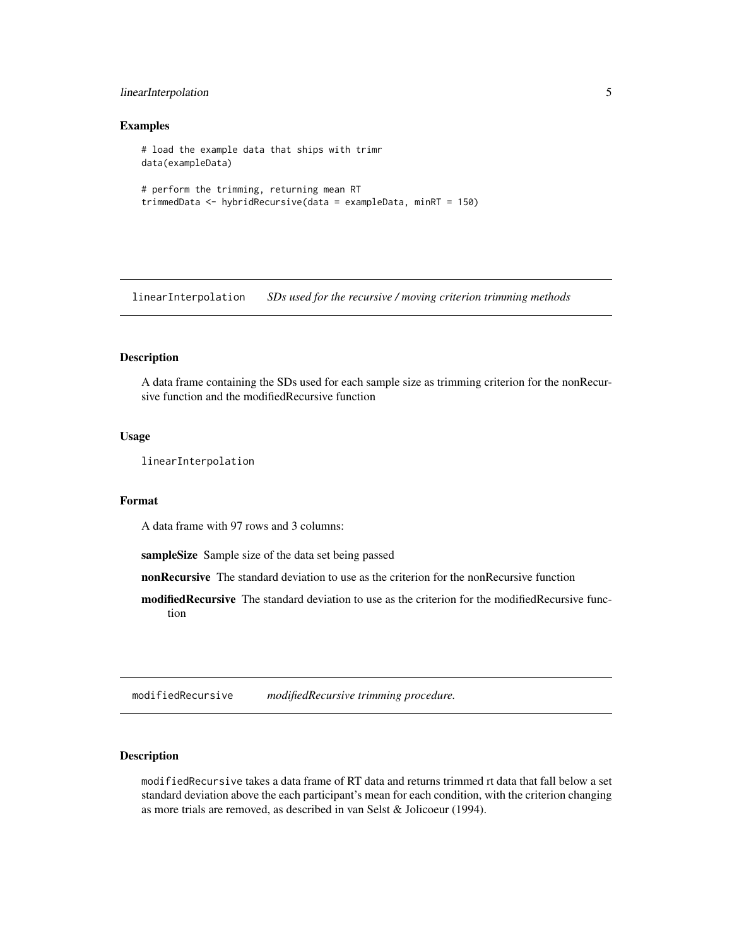#### <span id="page-4-0"></span>linearInterpolation 5

#### Examples

```
# load the example data that ships with trimr
data(exampleData)
# perform the trimming, returning mean RT
trimmedData <- hybridRecursive(data = exampleData, minRT = 150)
```
linearInterpolation *SDs used for the recursive / moving criterion trimming methods*

#### Description

A data frame containing the SDs used for each sample size as trimming criterion for the nonRecursive function and the modifiedRecursive function

#### Usage

linearInterpolation

#### Format

A data frame with 97 rows and 3 columns:

sampleSize Sample size of the data set being passed

nonRecursive The standard deviation to use as the criterion for the nonRecursive function

modifiedRecursive The standard deviation to use as the criterion for the modifiedRecursive function

modifiedRecursive *modifiedRecursive trimming procedure.*

#### Description

modifiedRecursive takes a data frame of RT data and returns trimmed rt data that fall below a set standard deviation above the each participant's mean for each condition, with the criterion changing as more trials are removed, as described in van Selst & Jolicoeur (1994).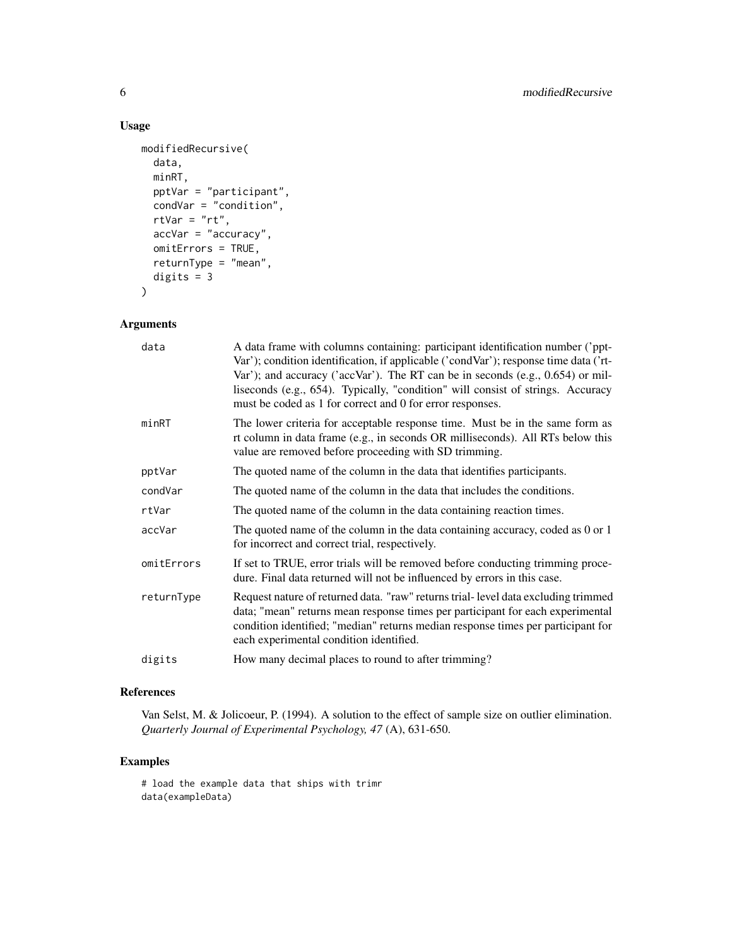#### Usage

```
modifiedRecursive(
 data,
 minRT,
 pptVar = "participant",
 condVar = "condition",
 rtVar = "rt",accVar = "accuracy",
 omitErrors = TRUE,
 returnType = "mean",
 digits = 3)
```
#### Arguments

| data       | A data frame with columns containing: participant identification number ('ppt-<br>Var'); condition identification, if applicable ('condVar'); response time data ('rt-<br>Var'); and accuracy ('accVar'). The RT can be in seconds (e.g., $0.654$ ) or mil-<br>liseconds (e.g., 654). Typically, "condition" will consist of strings. Accuracy<br>must be coded as 1 for correct and 0 for error responses. |
|------------|-------------------------------------------------------------------------------------------------------------------------------------------------------------------------------------------------------------------------------------------------------------------------------------------------------------------------------------------------------------------------------------------------------------|
| minRT      | The lower criteria for acceptable response time. Must be in the same form as<br>rt column in data frame (e.g., in seconds OR milliseconds). All RTs below this<br>value are removed before proceeding with SD trimming.                                                                                                                                                                                     |
| pptVar     | The quoted name of the column in the data that identifies participants.                                                                                                                                                                                                                                                                                                                                     |
| condVar    | The quoted name of the column in the data that includes the conditions.                                                                                                                                                                                                                                                                                                                                     |
| rtVar      | The quoted name of the column in the data containing reaction times.                                                                                                                                                                                                                                                                                                                                        |
| accVar     | The quoted name of the column in the data containing accuracy, coded as 0 or 1<br>for incorrect and correct trial, respectively.                                                                                                                                                                                                                                                                            |
| omitErrors | If set to TRUE, error trials will be removed before conducting trimming proce-<br>dure. Final data returned will not be influenced by errors in this case.                                                                                                                                                                                                                                                  |
| returnType | Request nature of returned data. "raw" returns trial-level data excluding trimmed<br>data; "mean" returns mean response times per participant for each experimental<br>condition identified; "median" returns median response times per participant for<br>each experimental condition identified.                                                                                                          |
| digits     | How many decimal places to round to after trimming?                                                                                                                                                                                                                                                                                                                                                         |
|            |                                                                                                                                                                                                                                                                                                                                                                                                             |

#### References

Van Selst, M. & Jolicoeur, P. (1994). A solution to the effect of sample size on outlier elimination. *Quarterly Journal of Experimental Psychology, 47* (A), 631-650.

#### Examples

# load the example data that ships with trimr data(exampleData)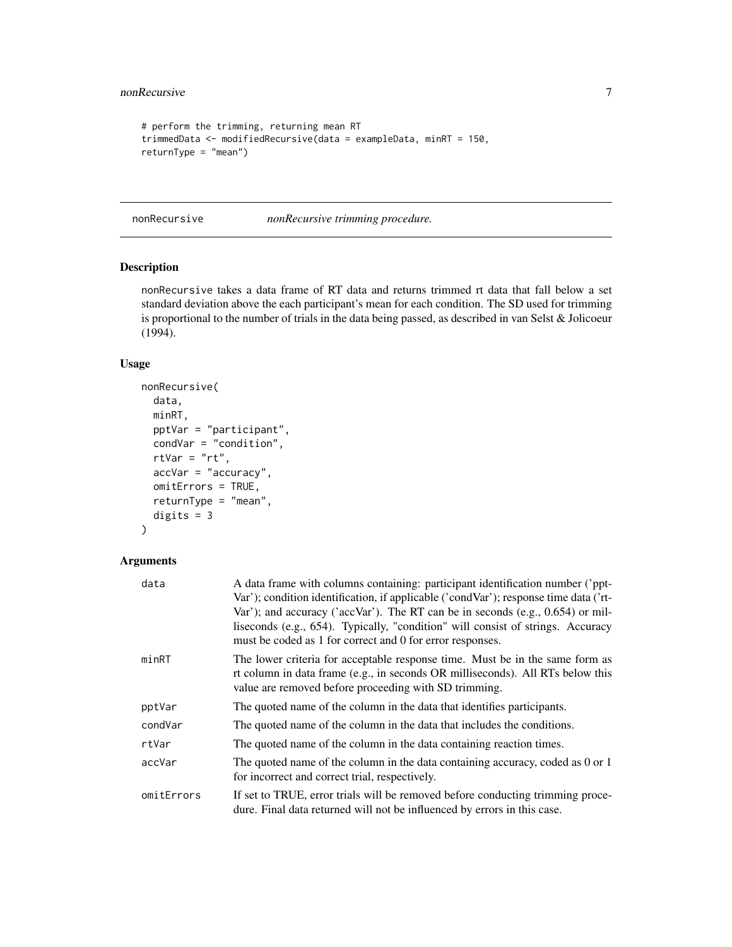#### <span id="page-6-0"></span>nonRecursive 7

```
# perform the trimming, returning mean RT
trimmedData <- modifiedRecursive(data = exampleData, minRT = 150,
returnType = "mean")
```
nonRecursive *nonRecursive trimming procedure.*

#### Description

nonRecursive takes a data frame of RT data and returns trimmed rt data that fall below a set standard deviation above the each participant's mean for each condition. The SD used for trimming is proportional to the number of trials in the data being passed, as described in van Selst & Jolicoeur (1994).

#### Usage

```
nonRecursive(
  data,
 minRT,
 pptVar = "participant",
  condVar = "condition",
  rtVar = "rt",accVar = "accuracy",
  omitErrors = TRUE,
  returnType = "mean",
  digits = 3)
```
#### Arguments

| data       | A data frame with columns containing: participant identification number ('ppt-<br>Var'); condition identification, if applicable ('condVar'); response time data ('rt-<br>Var'); and accuracy ('accVar'). The RT can be in seconds (e.g., 0.654) or mil-<br>liseconds (e.g., 654). Typically, "condition" will consist of strings. Accuracy<br>must be coded as 1 for correct and 0 for error responses. |
|------------|----------------------------------------------------------------------------------------------------------------------------------------------------------------------------------------------------------------------------------------------------------------------------------------------------------------------------------------------------------------------------------------------------------|
| minRT      | The lower criteria for acceptable response time. Must be in the same form as<br>rt column in data frame (e.g., in seconds OR milliseconds). All RTs below this<br>value are removed before proceeding with SD trimming.                                                                                                                                                                                  |
| pptVar     | The quoted name of the column in the data that identifies participants.                                                                                                                                                                                                                                                                                                                                  |
| condVar    | The quoted name of the column in the data that includes the conditions.                                                                                                                                                                                                                                                                                                                                  |
| rtVar      | The quoted name of the column in the data containing reaction times.                                                                                                                                                                                                                                                                                                                                     |
| accVar     | The quoted name of the column in the data containing accuracy, coded as 0 or 1<br>for incorrect and correct trial, respectively.                                                                                                                                                                                                                                                                         |
| omitErrors | If set to TRUE, error trials will be removed before conducting trimming proce-<br>dure. Final data returned will not be influenced by errors in this case.                                                                                                                                                                                                                                               |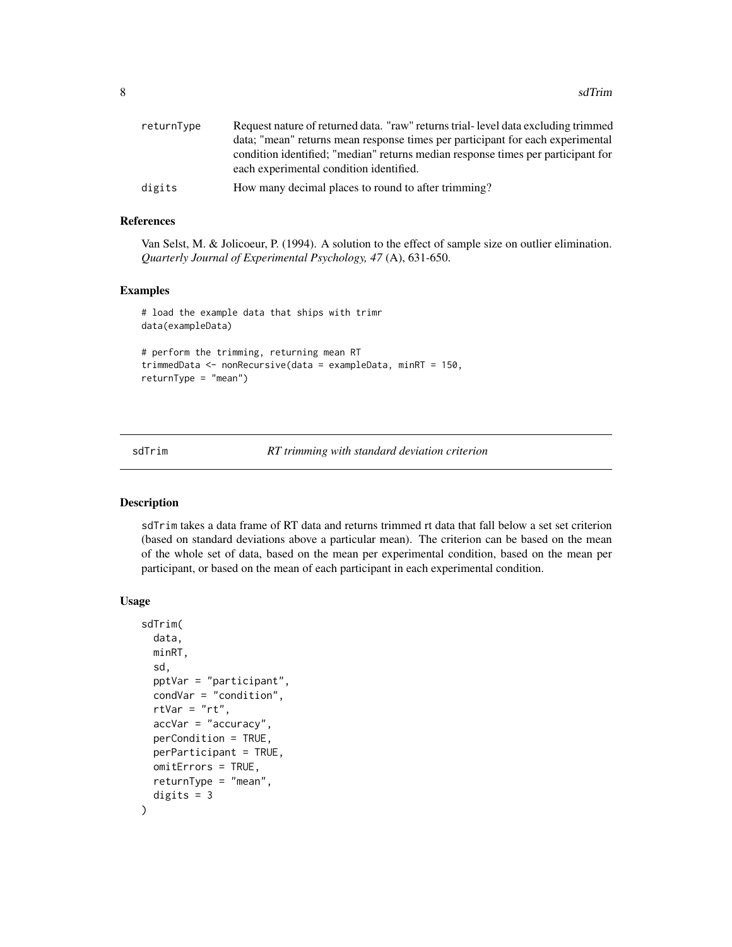<span id="page-7-0"></span>

| returnType | Request nature of returned data. "raw" returns trial-level data excluding trimmed |
|------------|-----------------------------------------------------------------------------------|
|            | data; "mean" returns mean response times per participant for each experimental    |
|            | condition identified; "median" returns median response times per participant for  |
|            | each experimental condition identified.                                           |
| digits     | How many decimal places to round to after trimming?                               |

#### References

Van Selst, M. & Jolicoeur, P. (1994). A solution to the effect of sample size on outlier elimination. *Quarterly Journal of Experimental Psychology, 47* (A), 631-650.

#### Examples

# load the example data that ships with trimr data(exampleData) # perform the trimming, returning mean RT

```
trimmedData <- nonRecursive(data = exampleData, minRT = 150,
returnType = "mean")
```
sdTrim *RT trimming with standard deviation criterion*

#### Description

sdTrim takes a data frame of RT data and returns trimmed rt data that fall below a set set criterion (based on standard deviations above a particular mean). The criterion can be based on the mean of the whole set of data, based on the mean per experimental condition, based on the mean per participant, or based on the mean of each participant in each experimental condition.

#### Usage

```
sdTrim(
  data,
 minRT,
  sd,
  pptVar = "participant",
  condVar = "condition",
  rtVar = "rt",accVar = "accuracy",
  perCondition = TRUE,
 perParticipant = TRUE,
  omitErrors = TRUE,
  returnType = "mean",
  digits = 3)
```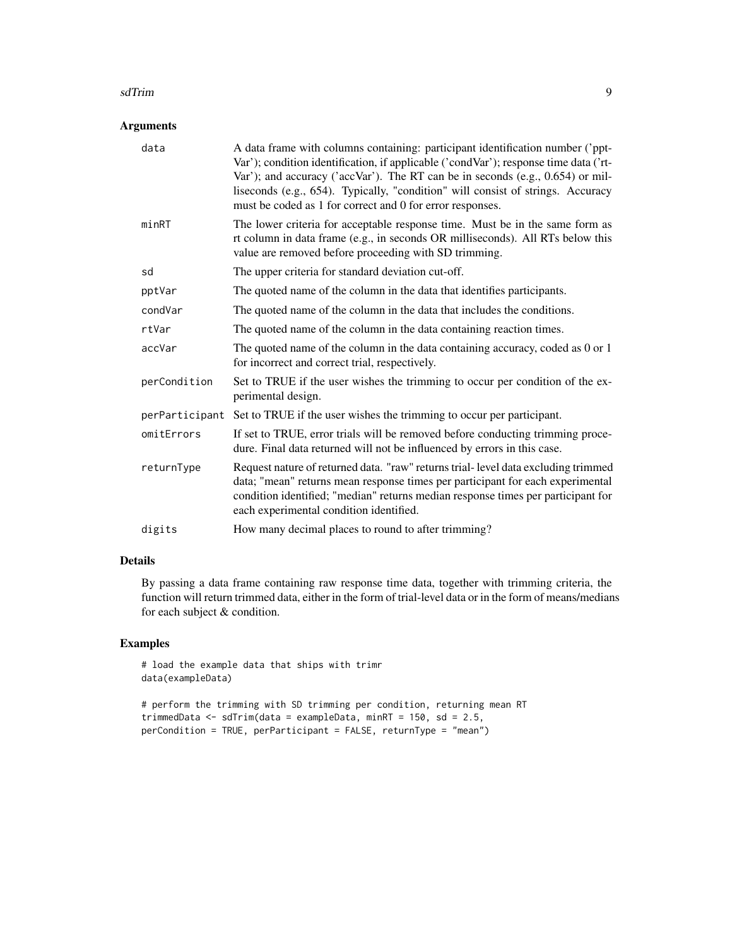#### sdTrim 9

#### Arguments

| data           | A data frame with columns containing: participant identification number ('ppt-<br>Var'); condition identification, if applicable ('condVar'); response time data ('rt-<br>Var'); and accuracy ('accVar'). The RT can be in seconds (e.g., $0.654$ ) or mil-<br>liseconds (e.g., 654). Typically, "condition" will consist of strings. Accuracy<br>must be coded as 1 for correct and 0 for error responses. |
|----------------|-------------------------------------------------------------------------------------------------------------------------------------------------------------------------------------------------------------------------------------------------------------------------------------------------------------------------------------------------------------------------------------------------------------|
| minRT          | The lower criteria for acceptable response time. Must be in the same form as<br>rt column in data frame (e.g., in seconds OR milliseconds). All RTs below this<br>value are removed before proceeding with SD trimming.                                                                                                                                                                                     |
| sd             | The upper criteria for standard deviation cut-off.                                                                                                                                                                                                                                                                                                                                                          |
| pptVar         | The quoted name of the column in the data that identifies participants.                                                                                                                                                                                                                                                                                                                                     |
| condVar        | The quoted name of the column in the data that includes the conditions.                                                                                                                                                                                                                                                                                                                                     |
| rtVar          | The quoted name of the column in the data containing reaction times.                                                                                                                                                                                                                                                                                                                                        |
| accVar         | The quoted name of the column in the data containing accuracy, coded as 0 or 1<br>for incorrect and correct trial, respectively.                                                                                                                                                                                                                                                                            |
| perCondition   | Set to TRUE if the user wishes the trimming to occur per condition of the ex-<br>perimental design.                                                                                                                                                                                                                                                                                                         |
| perParticipant | Set to TRUE if the user wishes the trimming to occur per participant.                                                                                                                                                                                                                                                                                                                                       |
| omitErrors     | If set to TRUE, error trials will be removed before conducting trimming proce-<br>dure. Final data returned will not be influenced by errors in this case.                                                                                                                                                                                                                                                  |
| returnType     | Request nature of returned data. "raw" returns trial-level data excluding trimmed<br>data; "mean" returns mean response times per participant for each experimental<br>condition identified; "median" returns median response times per participant for<br>each experimental condition identified.                                                                                                          |
| digits         | How many decimal places to round to after trimming?                                                                                                                                                                                                                                                                                                                                                         |

#### Details

By passing a data frame containing raw response time data, together with trimming criteria, the function will return trimmed data, either in the form of trial-level data or in the form of means/medians for each subject & condition.

#### Examples

```
# load the example data that ships with trimr
data(exampleData)
```

```
# perform the trimming with SD trimming per condition, returning mean RT
trimmedData <- sdTrim(data = exampleData, minRT = 150, sd = 2.5,
perCondition = TRUE, perParticipant = FALSE, returnType = "mean")
```